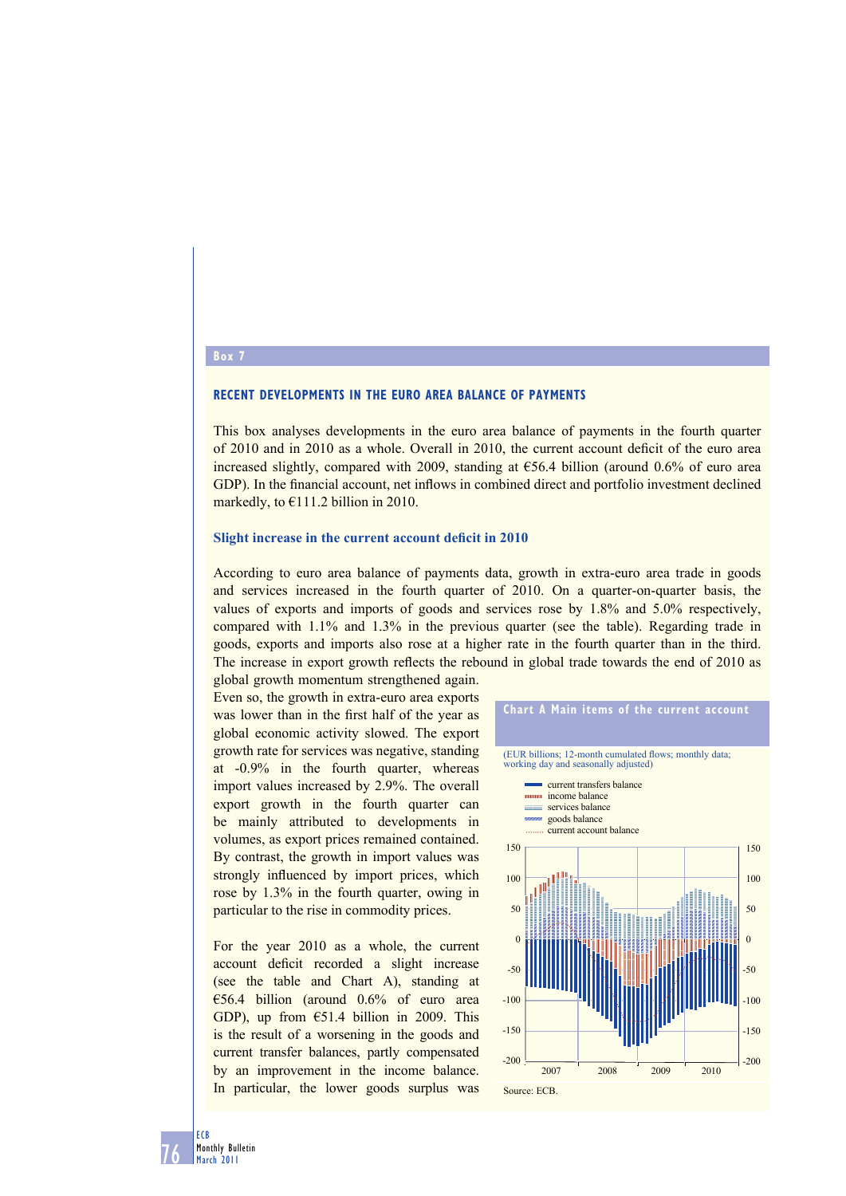## **RECENT DEVELOPMENTS IN THE EURO AREA BALANCE OF PAYMENTS**

This box analyses developments in the euro area balance of payments in the fourth quarter of 2010 and in 2010 as a whole. Overall in 2010, the current account deficit of the euro area increased slightly, compared with 2009, standing at  $E$ 56.4 billion (around 0.6% of euro area GDP). In the financial account, net inflows in combined direct and portfolio investment declined markedly, to €111.2 billion in 2010.

#### **Slight increase in the current account deficit in 2010**

According to euro area balance of payments data, growth in extra-euro area trade in goods and services increased in the fourth quarter of 2010. On a quarter-on-quarter basis, the values of exports and imports of goods and services rose by 1.8% and 5.0% respectively, compared with 1.1% and 1.3% in the previous quarter (see the table). Regarding trade in goods, exports and imports also rose at a higher rate in the fourth quarter than in the third. The increase in export growth reflects the rebound in global trade towards the end of 2010 as

global growth momentum strengthened again. Even so, the growth in extra-euro area exports was lower than in the first half of the year as global economic activity slowed. The export growth rate for services was negative, standing at -0.9% in the fourth quarter, whereas import values increased by 2.9%. The overall export growth in the fourth quarter can be mainly attributed to developments in volumes, as export prices remained contained. By contrast, the growth in import values was strongly influenced by import prices, which rose by 1.3% in the fourth quarter, owing in particular to the rise in commodity prices.

For the year 2010 as a whole, the current account deficit recorded a slight increase (see the table and Chart A), standing at €56.4 billion (around 0.6% of euro area GDP), up from  $\epsilon$ 51.4 billion in 2009. This is the result of a worsening in the goods and current transfer balances, partly compensated by an improvement in the income balance. In particular, the lower goods surplus was



#### **Box 7**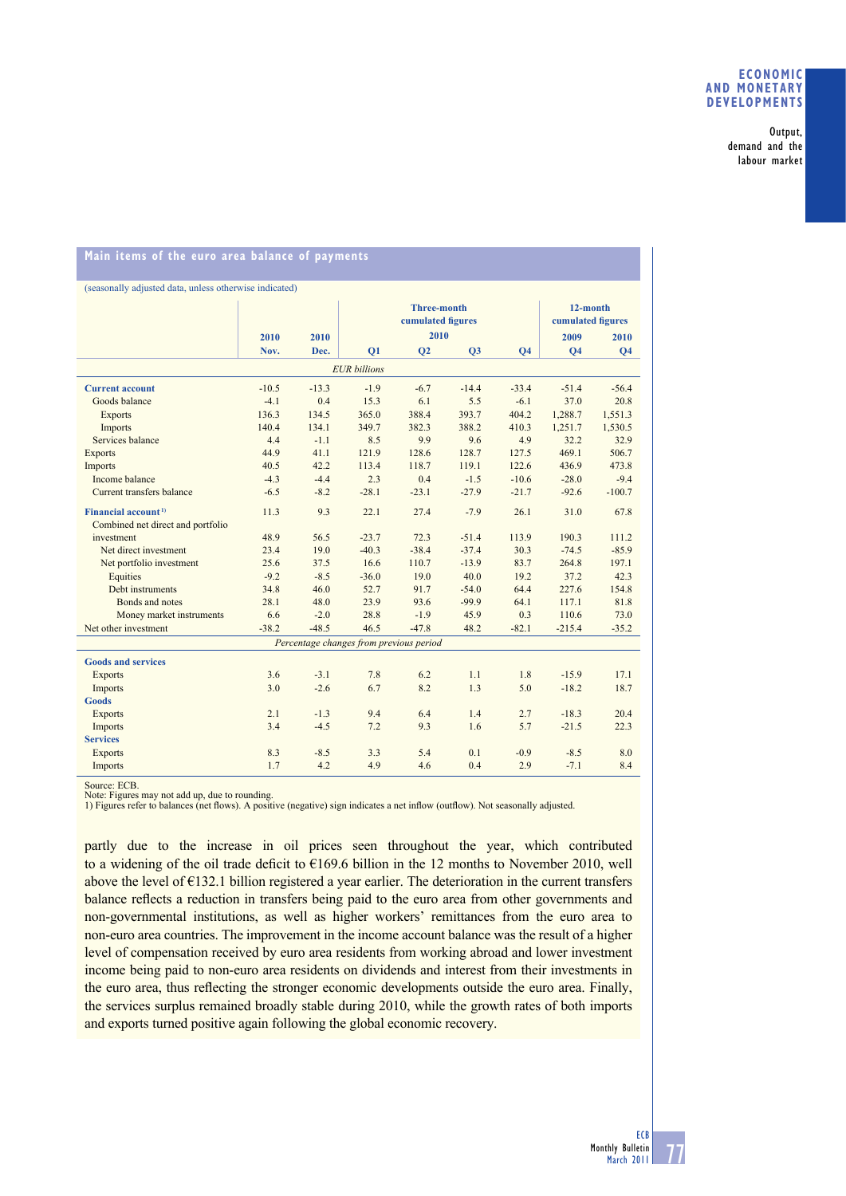### **ECONOMIC AND MONETARY DEVELOPMENTS**

Output, demand and the labour market

# **Main items of the euro area balance of payments**

| (seasonally adjusted data, unless otherwise indicated) |         |         |                                         |                |         |           |                               |                |
|--------------------------------------------------------|---------|---------|-----------------------------------------|----------------|---------|-----------|-------------------------------|----------------|
|                                                        |         |         | <b>Three-month</b><br>cumulated figures |                |         |           | 12-month<br>cumulated figures |                |
|                                                        | 2010    | 2010    |                                         | 2010           |         |           | 2009                          | 2010           |
|                                                        | Nov.    | Dec.    | Q1                                      | Q <sub>2</sub> | Q3      | <b>O4</b> | <b>O4</b>                     | Q <sub>4</sub> |
| <b>EUR</b> billions                                    |         |         |                                         |                |         |           |                               |                |
| <b>Current account</b>                                 | $-10.5$ | $-13.3$ | $-1.9$                                  | $-6.7$         | $-14.4$ | $-33.4$   | $-51.4$                       | $-56.4$        |
| Goods balance                                          | $-4.1$  | 0.4     | 15.3                                    | 6.1            | 5.5     | $-6.1$    | 37.0                          | 20.8           |
| <b>Exports</b>                                         | 136.3   | 134.5   | 365.0                                   | 388.4          | 393.7   | 404.2     | 1,288.7                       | 1,551.3        |
| Imports                                                | 140.4   | 134.1   | 349.7                                   | 382.3          | 388.2   | 410.3     | 1,251.7                       | 1,530.5        |
| Services balance                                       | 4.4     | $-1.1$  | 8.5                                     | 9.9            | 9.6     | 4.9       | 32.2                          | 32.9           |
| <b>Exports</b>                                         | 44.9    | 41.1    | 121.9                                   | 128.6          | 128.7   | 127.5     | 469.1                         | 506.7          |
| Imports                                                | 40.5    | 42.2    | 113.4                                   | 118.7          | 119.1   | 122.6     | 436.9                         | 473.8          |
| Income balance                                         | $-4.3$  | $-4.4$  | 2.3                                     | 0.4            | $-1.5$  | $-10.6$   | $-28.0$                       | $-9.4$         |
| Current transfers balance                              | $-6.5$  | $-8.2$  | $-28.1$                                 | $-23.1$        | $-27.9$ | $-21.7$   | $-92.6$                       | $-100.7$       |
| Financial account <sup>1)</sup>                        | 11.3    | 9.3     | 22.1                                    | 27.4           | $-7.9$  | 26.1      | 31.0                          | 67.8           |
| Combined net direct and portfolio                      |         |         |                                         |                |         |           |                               |                |
| investment                                             | 48.9    | 56.5    | $-23.7$                                 | 72.3           | $-51.4$ | 113.9     | 190.3                         | 111.2          |
| Net direct investment                                  | 23.4    | 19.0    | $-40.3$                                 | $-38.4$        | $-37.4$ | 30.3      | $-74.5$                       | $-85.9$        |
| Net portfolio investment                               | 25.6    | 37.5    | 16.6                                    | 110.7          | $-13.9$ | 83.7      | 264.8                         | 197.1          |
| Equities                                               | $-9.2$  | $-8.5$  | $-36.0$                                 | 19.0           | 40.0    | 19.2      | 37.2                          | 42.3           |
| Debt instruments                                       | 34.8    | 46.0    | 52.7                                    | 91.7           | $-54.0$ | 64.4      | 227.6                         | 154.8          |
| Bonds and notes                                        | 28.1    | 48.0    | 23.9                                    | 93.6           | $-99.9$ | 64.1      | 117.1                         | 81.8           |
| Money market instruments                               | 6.6     | $-2.0$  | 28.8                                    | $-1.9$         | 45.9    | 0.3       | 110.6                         | 73.0           |
| Net other investment                                   | $-38.2$ | $-48.5$ | 46.5                                    | $-47.8$        | 48.2    | $-82.1$   | $-215.4$                      | $-35.2$        |
| Percentage changes from previous period                |         |         |                                         |                |         |           |                               |                |
| <b>Goods and services</b>                              |         |         |                                         |                |         |           |                               |                |
| <b>Exports</b>                                         | 3.6     | $-3.1$  | 7.8                                     | 6.2            | 1.1     | 1.8       | $-15.9$                       | 17.1           |
| Imports                                                | 3.0     | $-2.6$  | 6.7                                     | 8.2            | 1.3     | 5.0       | $-18.2$                       | 18.7           |
| <b>Goods</b>                                           |         |         |                                         |                |         |           |                               |                |
| <b>Exports</b>                                         | 2.1     | $-1.3$  | 9.4                                     | 6.4            | 1.4     | 2.7       | $-18.3$                       | 20.4           |
| Imports                                                | 3.4     | $-4.5$  | 7.2                                     | 9.3            | 1.6     | 5.7       | $-21.5$                       | 22.3           |
| <b>Services</b>                                        |         |         |                                         |                |         |           |                               |                |
| <b>Exports</b>                                         | 8.3     | $-8.5$  | 3.3                                     | 5.4            | 0.1     | $-0.9$    | $-8.5$                        | 8.0            |
| Imports                                                | 1.7     | 4.2     | 4.9                                     | 4.6            | 0.4     | 2.9       | $-7.1$                        | 8.4            |

Source: ECB.

Note: Figures may not add up, due to rounding.<br>1) Figures refer to balances (net flows). A positive (negative) sign indicates a net inflow (outflow). Not seasonally adjusted.

partly due to the increase in oil prices seen throughout the year, which contributed to a widening of the oil trade deficit to  $\epsilon$ 169.6 billion in the 12 months to November 2010, well above the level of €132.1 billion registered a year earlier. The deterioration in the current transfers balance reflects a reduction in transfers being paid to the euro area from other governments and non-governmental institutions, as well as higher workers' remittances from the euro area to non-euro area countries. The improvement in the income account balance was the result of a higher level of compensation received by euro area residents from working abroad and lower investment income being paid to non-euro area residents on dividends and interest from their investments in the euro area, thus reflecting the stronger economic developments outside the euro area. Finally, the services surplus remained broadly stable during 2010, while the growth rates of both imports and exports turned positive again following the global economic recovery.